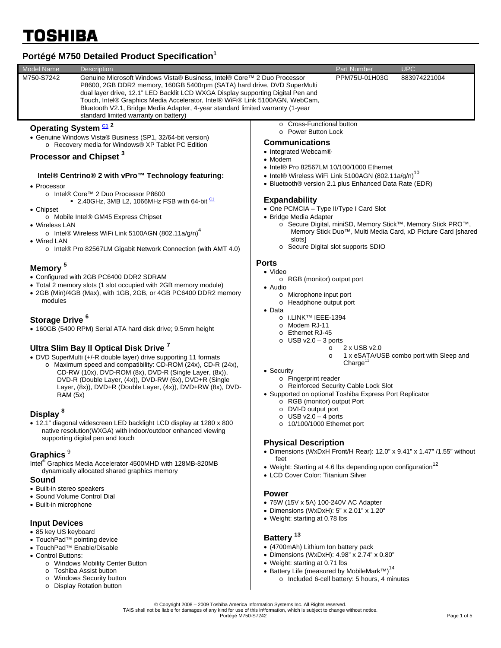# TOSHIBA

# **Portégé M750 Detailed Product Specification<sup>1</sup>**

| <b>Model Name</b>                                                                                                                                                                               | <b>Description</b>                                                                                                                                                                                                                                                                                                                                                                                                                               | <b>UPC</b><br>Part Number                                                                                                                                                                                                                                                                                                                                                                                           |  |  |
|-------------------------------------------------------------------------------------------------------------------------------------------------------------------------------------------------|--------------------------------------------------------------------------------------------------------------------------------------------------------------------------------------------------------------------------------------------------------------------------------------------------------------------------------------------------------------------------------------------------------------------------------------------------|---------------------------------------------------------------------------------------------------------------------------------------------------------------------------------------------------------------------------------------------------------------------------------------------------------------------------------------------------------------------------------------------------------------------|--|--|
| M750-S7242                                                                                                                                                                                      | Genuine Microsoft Windows Vista® Business, Intel® Core™ 2 Duo Processor<br>P8600, 2GB DDR2 memory, 160GB 5400rpm (SATA) hard drive, DVD SuperMulti<br>dual layer drive, 12.1" LED Backlit LCD WXGA Display supporting Digital Pen and<br>Touch, Intel® Graphics Media Accelerator, Intel® WiFi® Link 5100AGN, WebCam,<br>Bluetooth V2.1, Bridge Media Adapter, 4-year standard limited warranty (1-year<br>standard limited warranty on battery) | PPM75U-01H03G<br>883974221004                                                                                                                                                                                                                                                                                                                                                                                       |  |  |
| Operating System <sup>C1 2</sup><br>• Genuine Windows Vista® Business (SP1, 32/64-bit version)<br>o Recovery media for Windows® XP Tablet PC Edition<br>Processor and Chipset <sup>3</sup>      |                                                                                                                                                                                                                                                                                                                                                                                                                                                  | o Cross-Functional button<br>o Power Button Lock<br><b>Communications</b><br>• Integrated Webcam®<br>• Modem<br>• Intel® Pro 82567LM 10/100/1000 Ethernet                                                                                                                                                                                                                                                           |  |  |
| • Processor<br>• Chipset<br>• Wireless LAN<br>• Wired LAN                                                                                                                                       | Intel® Centrino® 2 with vPro™ Technology featuring:<br>o Intel® Core™ 2 Duo Processor P8600<br>$\bullet$ 2.40GHz, 3MB L2, 1066MHz FSB with 64-bit $\frac{C1}{C}$<br>o Mobile Intel® GM45 Express Chipset<br>o Intel® Wireless WiFi Link 5100AGN (802.11a/g/n) <sup>4</sup><br>o Intel® Pro 82567LM Gigabit Network Connection (with AMT 4.0)                                                                                                     | • Intel® Wireless WiFi Link 5100AGN (802.11a/g/n) <sup>10</sup><br>• Bluetooth® version 2.1 plus Enhanced Data Rate (EDR)<br><b>Expandability</b><br>• One PCMCIA - Type II/Type I Card Slot<br>• Bridge Media Adapter<br>o Secure Digital, miniSD, Memory Stick™, Memory Stick PRO™,<br>Memory Stick Duo <sup>™</sup> , Multi Media Card, xD Picture Card [shared<br>slotsl<br>○ Secure Digital slot supports SDIO |  |  |
| Memory <sup>5</sup><br>modules                                                                                                                                                                  | • Configured with 2GB PC6400 DDR2 SDRAM<br>• Total 2 memory slots (1 slot occupied with 2GB memory module)<br>• 2GB (Min)/4GB (Max), with 1GB, 2GB, or 4GB PC6400 DDR2 memory                                                                                                                                                                                                                                                                    | <b>Ports</b><br>$\bullet$ Video<br>○ RGB (monitor) output port<br>• Audio<br>Microphone input port<br>O<br>Headphone output port<br>$\circ$<br>$\bullet$ Data                                                                                                                                                                                                                                                       |  |  |
| Storage Drive <sup>6</sup><br><b>RAM</b> (5x)                                                                                                                                                   | • 160GB (5400 RPM) Serial ATA hard disk drive; 9.5mm height<br>Ultra Slim Bay II Optical Disk Drive <sup>7</sup><br>• DVD SuperMulti (+/-R double layer) drive supporting 11 formats<br>o Maximum speed and compatibility: CD-ROM $(24x)$ , CD-R $(24x)$ ,<br>CD-RW (10x), DVD-ROM (8x), DVD-R (Single Layer, (8x)),<br>DVD-R (Double Layer, (4x)), DVD-RW (6x), DVD+R (Single<br>Layer, (8x)), DVD+R (Double Layer, (4x)), DVD+RW (8x), DVD-    | o i.LINK™ IEEE-1394<br>○ Modem RJ-11<br>○ Ethernet RJ-45<br>$\circ$ USB v2.0 – 3 ports<br>2 x USB v2.0<br>$\circ$<br>1 x eSATA/USB combo port with Sleep and<br>$\circ$<br>Change <sup>11</sup><br>• Security<br>o Fingerprint reader<br>o Reinforced Security Cable Lock Slot<br>• Supported on optional Toshiba Express Port Replicator<br>o RGB (monitor) output Port                                            |  |  |
| Display <sup>8</sup><br>• 12.1" diagonal widescreen LED backlight LCD display at 1280 x 800<br>native resolution(WXGA) with indoor/outdoor enhanced viewing<br>supporting digital pen and touch |                                                                                                                                                                                                                                                                                                                                                                                                                                                  | o DVI-D output port<br>$\circ$ USB v2.0 - 4 ports<br>$\circ$ 10/100/1000 Ethernet port<br><b>Dhugiant Deceription</b>                                                                                                                                                                                                                                                                                               |  |  |

## **Graphics** <sup>9</sup>

Intel® Graphics Media Accelerator 4500MHD with 128MB-820MB dynamically allocated shared graphics memory

#### **Sound**

- Built-in stereo speakers
- Sound Volume Control Dial
- Built-in microphone

## **Input Devices**

- 85 key US keyboard
- TouchPad<sup>™</sup> pointing device
- TouchPad™ Enable/Disable • Control Buttons:
	- o Windows Mobility Center Button
		- o Toshiba Assist button
		- o Windows Security button
		- o Display Rotation button

## **Physical Description**

- Dimensions (WxDxH Front/H Rear): 12.0" x 9.41" x 1.47" /1.55" without feet
- $\bullet$  Weight: Starting at 4.6 lbs depending upon configuration<sup>12</sup>
- LCD Cover Color: Titanium Silver

## **Power**

- 75W (15V x 5A) 100-240V AC Adapter
- Dimensions (WxDxH): 5" x 2.01" x 1.20"
- Weight: starting at 0.78 lbs

## **Battery 13**

- (4700mAh) Lithium Ion battery pack
- Dimensions (WxDxH): 4.98" x 2.74" x 0.80"
- Weight: starting at 0.71 lbs
- Battery Life (measured by MobileMark™)<sup>14</sup>
	- o Included 6-cell battery: 5 hours, 4 minutes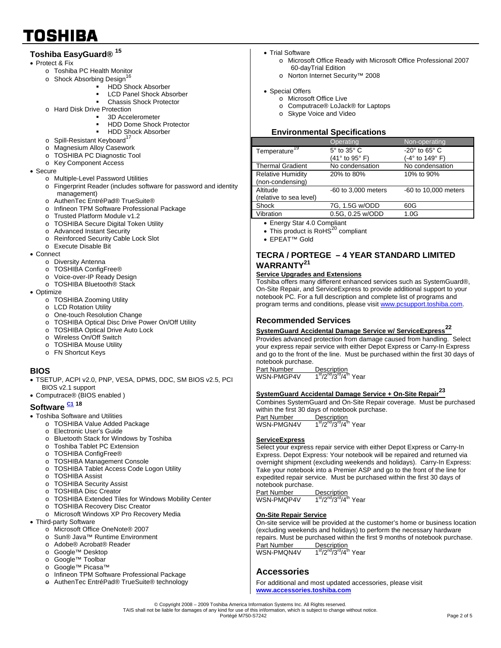#### TOSHIBA l,

# **Toshiba EasyGuard® 15**

- Protect & Fix
	- o Toshiba PC Health Monitor
	- o Shock Absorbing Design<sup>16</sup>
		- HDD Shock Absorber
		- LCD Panel Shock Absorber
		- Chassis Shock Protector
	- o Hard Disk Drive Protection
		- 3D Accelerometer
		- HDD Dome Shock Protector HDD Shock Absorber
	- o Spill-Resistant Keyboard<sup>1</sup>
	- o Magnesium Alloy Casework
	- o TOSHIBA PC Diagnostic Tool
	- o Key Component Access
- Secure
	- o Multiple-Level Password Utilities
	- o Fingerprint Reader (includes software for password and identity management)
	- o AuthenTec EntréPad® TrueSuite®
	- o Infineon TPM Software Professional Package
	- o Trusted Platform Module v1.2
	- o TOSHIBA Secure Digital Token Utility
	- o Advanced Instant Security
	- o Reinforced Security Cable Lock Slot
	- o Execute Disable Bit
- Connect
	- o Diversity Antenna
	- o TOSHIBA ConfigFree®
	- o Voice-over-IP Ready Design
	- o TOSHIBA Bluetooth® Stack
- Optimize
	- o TOSHIBA Zooming Utility
	- o LCD Rotation Utility
	- o One-touch Resolution Change
	- o TOSHIBA Optical Disc Drive Power On/Off Utility
	- o TOSHIBA Optical Drive Auto Lock
	- o Wireless On/Off Switch
	- o TOSHIBA Mouse Utility
	- o FN Shortcut Keys

#### **BIOS**

- TSETUP, ACPI v2.0, PNP, VESA, DPMS, DDC, SM BIOS v2.5, PCI BIOS v2.1 support
- Computrace® (BIOS enabled )

## Software  $\frac{C1}{18}$  18

- Toshiba Software and Utilities
	- o TOSHIBA Value Added Package
	- o Electronic User's Guide
	- o Bluetooth Stack for Windows by Toshiba
	- o Toshiba Tablet PC Extension
	- o TOSHIBA ConfigFree®
	- o TOSHIBA Management Console
	- o TOSHIBA Tablet Access Code Logon Utility
	- o TOSHIBA Assist
	- o TOSHIBA Security Assist
	- o TOSHIBA Disc Creator
	- o TOSHIBA Extended Tiles for Windows Mobility Center
	- o TOSHIBA Recovery Disc Creator
	- o Microsoft Windows XP Pro Recovery Media
- Third-party Software
	- o Microsoft Office OneNote® 2007
	- o Sun® Java™ Runtime Environment
	- o Adobe® Acrobat® Reader
	- o Google™ Desktop
	- o Google™ Toolbar
	- o Google™ Picasa™
	- o Infineon TPM Software Professional Package
	- o AuthenTec EntréPad® TrueSuite® technology
- Trial Software
	- o Microsoft Office Ready with Microsoft Office Professional 2007 60-dayTrial Edition
	- o Norton Internet Security™ 2008
- Special Offers
	- o Microsoft Office Live
	- o Computrace® LoJack® for Laptops
	- o Skype Voice and Video

#### **Environmental Specifications**

|                           | Operating             | Non-operating                   |
|---------------------------|-----------------------|---------------------------------|
| Temperature <sup>19</sup> | 5° to 35° C           | -20 $\degree$ to 65 $\degree$ C |
|                           | (41° to 95° F)        | (-4° to 149° F)                 |
| <b>Thermal Gradient</b>   | No condensation       | No condensation                 |
| <b>Relative Humidity</b>  | 20% to 80%            | 10% to 90%                      |
| (non-condensing)          |                       |                                 |
| Altitude                  | $-60$ to 3,000 meters | $-60$ to 10,000 meters          |
| (relative to sea level)   |                       |                                 |
| Shock                     | 7G, 1.5G w/ODD        | 60G                             |
| Vibration                 | 0.5G, 0.25 w/ODD      | 1.0G                            |

Energy Star 4.0 Compliant

 $\bullet$  This product is RoHS $^{20}$  compliant

EPEAT™ Gold

#### **TECRA / PORTEGE – 4 YEAR STANDARD LIMITED WARRANTY21**

#### **Service Upgrades and Extensions**

Toshiba offers many different enhanced services such as SystemGuard®, On-Site Repair, and ServiceExpress to provide additional support to your notebook PC. For a full description and complete list of programs and program terms and conditions, please visit www.pcsupport.toshiba.com.

#### **Recommended Services**

## **SystemGuard Accidental Damage Service w/ ServiceExpress<sup>22</sup>**

Provides advanced protection from damage caused from handling. Select your express repair service with either Depot Express or Carry-In Express and go to the front of the line. Must be purchased within the first 30 days of notebook purchase.<br>Part Number Description

**Part Number**<br>WSN-PMGP4V  $1<sup>st</sup>/2<sup>nd</sup>/3<sup>rd</sup>/4<sup>th</sup>$  Year

# **SystemGuard Accidental Damage Service + On-Site Repair<sup>23</sup>**

Combines SystemGuard and On-Site Repair coverage. Must be purchased within the first 30 days of notebook purchase.<br>Part Number Description

Part Number WSN-PMGN4V 1<sup>st</sup>/2<sup>nd</sup>/3<sup>rd</sup>/4<sup>th</sup> Year

#### **ServiceExpress**

Select your express repair service with either Depot Express or Carry-In Express. Depot Express: Your notebook will be repaired and returned via overnight shipment (excluding weekends and holidays). Carry-In Express: Take your notebook into a Premier ASP and go to the front of the line for expedited repair service. Must be purchased within the first 30 days of notebook purchase.

Part Number Description<br>WSN-PMQP4V 1<sup>st</sup>/2<sup>nd</sup>/3<sup>rd</sup>/4<sup>tt</sup>  $\frac{1^{\text{st}}}{2^{\text{nd}}/3^{\text{rd}}/4^{\text{th}}}$  Year

#### **On-Site Repair Service**

On-site service will be provided at the customer's home or business location (excluding weekends and holidays) to perform the necessary hardware repairs. Must be purchased within the first 9 months of notebook purchase.<br>Part Number Description <u>Part Number Description</u><br>WSN-PMQN4V 1<sup>st</sup>/2<sup>nd</sup>/3<sup>rd</sup>/4<sup>th</sup> Year

## **Accessories**

For additional and most updated accessories, please visit **www.accessories.toshiba.com**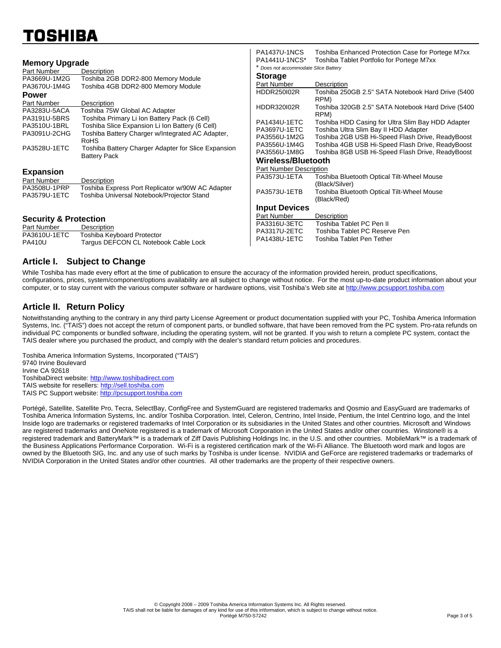# TOSHIBA

| <b>Memory Upgrade</b>            |                                                                                                                                                                                                                                                                                                  | <b>PA1437U-1NCS</b><br>PA1441U-1NCS* | Toshiba Enhanced Protection Case for Portege M7xx<br>Toshiba Tablet Portfolio for Portege M7xx       |
|----------------------------------|--------------------------------------------------------------------------------------------------------------------------------------------------------------------------------------------------------------------------------------------------------------------------------------------------|--------------------------------------|------------------------------------------------------------------------------------------------------|
| Part Number                      | Description                                                                                                                                                                                                                                                                                      | Does not accommodate Slice Battery   |                                                                                                      |
| PA3669U-1M2G                     | Toshiba 2GB DDR2-800 Memory Module                                                                                                                                                                                                                                                               | <b>Storage</b>                       |                                                                                                      |
| PA3670U-1M4G                     | Toshiba 4GB DDR2-800 Memory Module                                                                                                                                                                                                                                                               | Part Number                          | Description                                                                                          |
| <b>Power</b>                     |                                                                                                                                                                                                                                                                                                  | <b>HDDR250I02R</b>                   | Toshiba 250GB 2.5" SATA Notebook Hard Drive (5400<br>RPM)                                            |
| Part Number<br>PA3283U-5ACA      | Description<br>Toshiba 75W Global AC Adapter<br>Toshiba Primary Li Ion Battery Pack (6 Cell)<br>Toshiba Slice Expansion Li Ion Battery (6 Cell)<br>Toshiba Battery Charger w/Integrated AC Adapter,<br><b>RoHS</b><br>Toshiba Battery Charger Adapter for Slice Expansion<br><b>Battery Pack</b> | <b>HDDR320I02R</b>                   | Toshiba 320GB 2.5" SATA Notebook Hard Drive (5400<br>RPM)                                            |
| PA3191U-5BRS<br>PA3510U-1BRL     |                                                                                                                                                                                                                                                                                                  | <b>PA1434U-1ETC</b><br>PA3697U-1ETC  | Toshiba HDD Casing for Ultra Slim Bay HDD Adapter<br>Toshiba Ultra Slim Bay II HDD Adapter           |
| PA3091U-2CHG<br>PA3528U-1ETC     |                                                                                                                                                                                                                                                                                                  | PA3556U-1M2G                         | Toshiba 2GB USB Hi-Speed Flash Drive, ReadyBoost                                                     |
|                                  |                                                                                                                                                                                                                                                                                                  | PA3556U-1M4G<br>PA3556U-1M8G         | Toshiba 4GB USB Hi-Speed Flash Drive, ReadyBoost<br>Toshiba 8GB USB Hi-Speed Flash Drive, ReadyBoost |
|                                  |                                                                                                                                                                                                                                                                                                  | Wireless/Bluetooth                   |                                                                                                      |
| <b>Expansion</b>                 |                                                                                                                                                                                                                                                                                                  | <b>Part Number Description</b>       |                                                                                                      |
|                                  |                                                                                                                                                                                                                                                                                                  | PA3573U-1ETA                         | Toshiba Bluetooth Optical Tilt-Wheel Mouse                                                           |
| Part Number                      | Description                                                                                                                                                                                                                                                                                      |                                      | (Black/Silver)                                                                                       |
| PA3508U-1PRP<br>PA3579U-1ETC     | Toshiba Express Port Replicator w/90W AC Adapter<br>Toshiba Universal Notebook/Projector Stand                                                                                                                                                                                                   | PA3573U-1ETB                         | Toshiba Bluetooth Optical Tilt-Wheel Mouse<br>(Black/Red)                                            |
|                                  |                                                                                                                                                                                                                                                                                                  | <b>Input Devices</b>                 |                                                                                                      |
| <b>Security &amp; Protection</b> |                                                                                                                                                                                                                                                                                                  | Part Number                          | Description                                                                                          |
| Part Number                      | Description                                                                                                                                                                                                                                                                                      | PA3316U-3ETC                         | Toshiba Tablet PC Pen II                                                                             |
| PA3610U-1ETC                     | Toshiba Keyboard Protector                                                                                                                                                                                                                                                                       | PA3317U-2ETC                         | Toshiba Tablet PC Reserve Pen                                                                        |
| <b>PA410U</b>                    | Targus DEFCON CL Notebook Cable Lock                                                                                                                                                                                                                                                             | PA1438U-1ETC                         | Toshiba Tablet Pen Tether                                                                            |

## **Article I. Subject to Change**

While Toshiba has made every effort at the time of publication to ensure the accuracy of the information provided herein, product specifications, configurations, prices, system/component/options availability are all subject to change without notice. For the most up-to-date product information about your computer, or to stay current with the various computer software or hardware options, visit Toshiba's Web site at http://www.pcsupport.toshiba.com

## **Article II. Return Policy**

Notwithstanding anything to the contrary in any third party License Agreement or product documentation supplied with your PC, Toshiba America Information Systems, Inc. ("TAIS") does not accept the return of component parts, or bundled software, that have been removed from the PC system. Pro-rata refunds on individual PC components or bundled software, including the operating system, will not be granted. If you wish to return a complete PC system, contact the TAIS dealer where you purchased the product, and comply with the dealer's standard return policies and procedures.

Toshiba America Information Systems, Incorporated ("TAIS") 9740 Irvine Boulevard Irvine CA 92618 ToshibaDirect website: http://www.toshibadirect.com TAIS website for resellers: http://sell.toshiba.com TAIS PC Support website: http://pcsupport.toshiba.com

Portégé, Satellite, Satellite Pro, Tecra, SelectBay, ConfigFree and SystemGuard are registered trademarks and Qosmio and EasyGuard are trademarks of Toshiba America Information Systems, Inc. and/or Toshiba Corporation. Intel, Celeron, Centrino, Intel Inside, Pentium, the Intel Centrino logo, and the Intel Inside logo are trademarks or registered trademarks of Intel Corporation or its subsidiaries in the United States and other countries. Microsoft and Windows are registered trademarks and OneNote registered is a trademark of Microsoft Corporation in the United States and/or other countries. Winstone® is a registered trademark and BatteryMark™ is a trademark of Ziff Davis Publishing Holdings Inc. in the U.S. and other countries. MobileMark™ is a trademark of the Business Applications Performance Corporation. Wi-Fi is a registered certification mark of the Wi-Fi Alliance. The Bluetooth word mark and logos are owned by the Bluetooth SIG, Inc. and any use of such marks by Toshiba is under license. NVIDIA and GeForce are registered trademarks or trademarks of NVIDIA Corporation in the United States and/or other countries. All other trademarks are the property of their respective owners.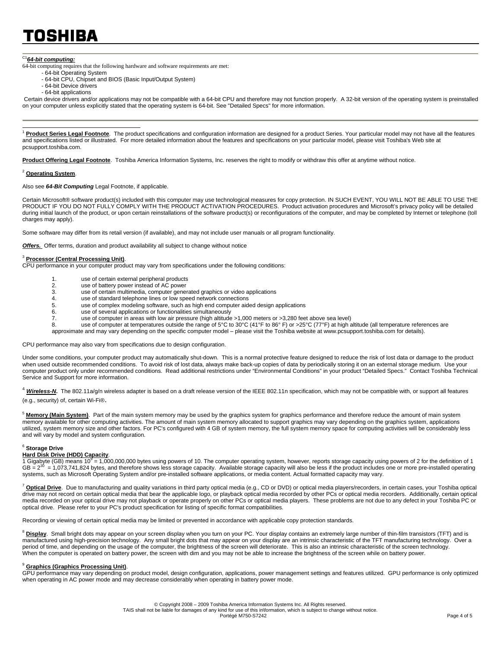#### TOSHIBA l,

#### C1*64-bit computing:*

64-bit computing requires that the following hardware and software requirements are met:

- 64-bit Operating System
- 64-bit CPU, Chipset and BIOS (Basic Input/Output System)
- 64-bit Device drivers - 64-bit applications

 Certain device drivers and/or applications may not be compatible with a 64-bit CPU and therefore may not function properly. A 32-bit version of the operating system is preinstalled on your computer unless explicitly stated that the operating system is 64-bit. See "Detailed Specs" for more information.

Product Series Legal Footnote. The product specifications and configuration information are designed for a product Series. Your particular model may not have all the features and specifications listed or illustrated. For more detailed information about the features and specifications on your particular model, please visit Toshiba's Web site at pcsupport.toshiba.com.

**Product Offering Legal Footnote**. Toshiba America Information Systems, Inc. reserves the right to modify or withdraw this offer at anytime without notice.

#### <sup>2</sup> **Operating System**.

 $\overline{a}$ 

Also see *64-Bit Computing* Legal Footnote, if applicable.

Certain Microsoft® software product(s) included with this computer may use technological measures for copy protection. IN SUCH EVENT, YOU WILL NOT BE ABLE TO USE THE PRODUCT IF YOU DO NOT FULLY COMPLY WITH THE PRODUCT ACTIVATION PROCEDURES. Product activation procedures and Microsoft's privacy policy will be detailed during initial launch of the product, or upon certain reinstallations of the software product(s) or reconfigurations of the computer, and may be completed by Internet or telephone (toll charges may apply).

Some software may differ from its retail version (if available), and may not include user manuals or all program functionality.

**Offers.** Offer terms, duration and product availability all subject to change without notice

#### <sup>3</sup> **Processor (Central Processing Unit)**.

CPU performance in your computer product may vary from specifications under the following conditions:

- 1. use of certain external peripheral products<br>2. use of battery power instead of AC power
- 2. use of battery power instead of AC power<br>3. use of certain multimedia, computer gener
- use of certain multimedia, computer generated graphics or video applications
- 4. use of standard telephone lines or low speed network connections<br>5. use of complex modeling software, such as high end computer aid
- 5. use of complex modeling software, such as high end computer aided design applications
- 6. use of several applications or functionalities simultaneously<br>7 use of computer in areas with low air pressure (bigh altitude
	- use of computer in areas with low air pressure (high altitude >1,000 meters or >3,280 feet above sea level)
- 8. use of computer at temperatures outside the range of 5°C to 30°C (41°F to 86°F) or >25°C (77°F) at high altitude (all temperature references are
- approximate and may vary depending on the specific computer model please visit the Toshiba website at www.pcsupport.toshiba.com for details).

#### CPU performance may also vary from specifications due to design configuration.

Under some conditions, your computer product may automatically shut-down. This is a normal protective feature designed to reduce the risk of lost data or damage to the product when used outside recommended conditions. To avoid risk of lost data, always make back-up copies of data by periodically storing it on an external storage medium. Use your computer product only under recommended conditions. Read additional restrictions under "Environmental Conditions" in your product "Detailed Specs." Contact Toshiba Technical Service and Support for more information.

<sup>4</sup> *Wireless-N***.** The 802.11a/g/n wireless adapter is based on a draft release version of the IEEE 802.11n specification, which may not be compatible with, or support all features (e.g., security) of, certain Wi-Fi®.

<sup>5</sup> Memory (Main System). Part of the main system memory may be used by the graphics system for graphics performance and therefore reduce the amount of main system memory available for other computing activities. The amount of main system memory allocated to support graphics may vary depending on the graphics system, applications utilized, system memory size and other factors. For PC's configured with 4 GB of system memory, the full system memory space for computing activities will be considerably less and will vary by model and system configuration.

#### <sup>6</sup> **Storage Drive**

#### **Hard Disk Drive (HDD) Capacity**.

1 Gigabyte (GB) means 10<sup>9</sup> = 1,000,000,000 bytes using powers of 10. The computer operating system, however, reports storage capacity using powers of 2 for the definition of 1  $GB = 2^{30} = 1,073,741,824$  bytes, and therefore shows less storage capacity. Available storage capacity will also be less if the product includes one or more pre-installed operating systems, such as Microsoft Operating System and/or pre-installed software applications, or media content. Actual formatted capacity may vary.

<sup>7</sup> Optical Drive. Due to manufacturing and quality variations in third party optical media (e.g., CD or DVD) or optical media players/recorders, in certain cases, your Toshiba optical drive may not record on certain optical media that bear the applicable logo, or playback optical media recorded by other PCs or optical media recorders. Additionally, certain optical media recorded on your optical drive may not playback or operate properly on other PCs or optical media players. These problems are not due to any defect in your Toshiba PC or optical drive. Please refer to your PC's product specification for listing of specific format compatibilities.

Recording or viewing of certain optical media may be limited or prevented in accordance with applicable copy protection standards.

<sup>8</sup> Display. Small bright dots may appear on your screen display when you turn on your PC. Your display contains an extremely large number of thin-film transistors (TFT) and is manufactured using high-precision technology. Any small bright dots that may appear on your display are an intrinsic characteristic of the TFT manufacturing technology. Over a period of time, and depending on the usage of the computer, the brightness of the screen will deteriorate. This is also an intrinsic characteristic of the screen technology. When the computer is operated on battery power, the screen with dim and you may not be able to increase the brightness of the screen while on battery power.

#### <sup>9</sup> **Graphics (Graphics Processing Unit)**.

GPU performance may vary depending on product model, design configuration, applications, power management settings and features utilized. GPU performance is only optimized when operating in AC power mode and may decrease considerably when operating in battery power mode.